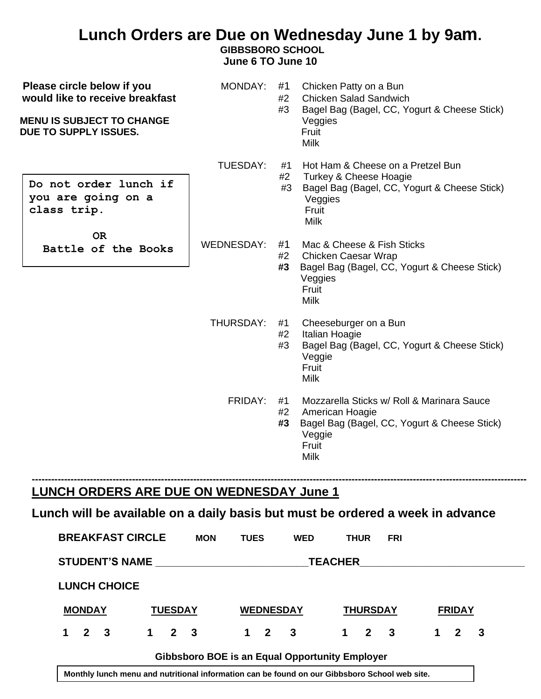## **Lunch Orders are Due on Wednesday June 1 by 9am.**

**GIBBSBORO SCHOOL**

 **June 6 TO June 10**

| Please circle below if you<br>would like to receive breakfast<br><b>MENU IS SUBJECT TO CHANGE</b><br><b>DUE TO SUPPLY ISSUES.</b> | MONDAY:    | #1<br>#2<br>#3 | Chicken Patty on a Bun<br><b>Chicken Salad Sandwich</b><br>Bagel Bag (Bagel, CC, Yogurt & Cheese Stick)<br>Veggies<br>Fruit<br><b>Milk</b>      |
|-----------------------------------------------------------------------------------------------------------------------------------|------------|----------------|-------------------------------------------------------------------------------------------------------------------------------------------------|
| Do not order lunch if<br>you are going on a<br>class trip.                                                                        | TUESDAY:   | #1<br>#2<br>#3 | Hot Ham & Cheese on a Pretzel Bun<br>Turkey & Cheese Hoagie<br>Bagel Bag (Bagel, CC, Yogurt & Cheese Stick)<br>Veggies<br>Fruit<br><b>Milk</b>  |
| <b>OR</b><br>Battle of the Books                                                                                                  | WEDNESDAY: | #1<br>#2<br>#3 | Mac & Cheese & Fish Sticks<br>Chicken Caesar Wrap<br>Bagel Bag (Bagel, CC, Yogurt & Cheese Stick)<br>Veggies<br>Fruit<br><b>Milk</b>            |
|                                                                                                                                   | THURSDAY:  | #1<br>#2<br>#3 | Cheeseburger on a Bun<br>Italian Hoagie<br>Bagel Bag (Bagel, CC, Yogurt & Cheese Stick)<br>Veggie<br>Fruit<br><b>Milk</b>                       |
|                                                                                                                                   | FRIDAY:    | #1<br>#2<br>#3 | Mozzarella Sticks w/ Roll & Marinara Sauce<br>American Hoagie<br>Bagel Bag (Bagel, CC, Yogurt & Cheese Stick)<br>Veggie<br>Fruit<br><b>Milk</b> |

## **LUNCH ORDERS ARE DUE ON WEDNESDAY June 1**

## **Lunch will be available on a daily basis but must be ordered a week in advance**

**---------------------------------------------------------------------------------------------------------------------------------------------------------**

| <b>BREAKFAST CIRCLE</b> |                     | <b>MON</b> | <b>TUES</b>                                           | <b>WED</b>     | <b>THUR</b>                | <b>FRI</b> |             |                |              |
|-------------------------|---------------------|------------|-------------------------------------------------------|----------------|----------------------------|------------|-------------|----------------|--------------|
| <b>STUDENT'S NAME</b>   |                     |            |                                                       | <b>TEACHER</b> |                            |            |             |                |              |
| <b>LUNCH CHOICE</b>     |                     |            |                                                       |                |                            |            |             |                |              |
| <b>MONDAY</b>           | <b>TUESDAY</b>      |            | <b>WEDNESDAY</b>                                      |                | <b>THURSDAY</b>            |            |             | <b>FRIDAY</b>  |              |
| $1 \quad 2 \quad 3$     | $1 \quad 2 \quad 3$ |            | $1 \quad 2 \quad 3$                                   |                | $\mathbf 1$<br>$2 \quad 3$ |            | $\mathbf 1$ | $\overline{2}$ | $\mathbf{3}$ |
|                         |                     |            | <b>Gibbsboro BOE is an Equal Opportunity Employer</b> |                |                            |            |             |                |              |

**Monthly lunch menu and nutritional information can be found on our Gibbsboro School web site.**